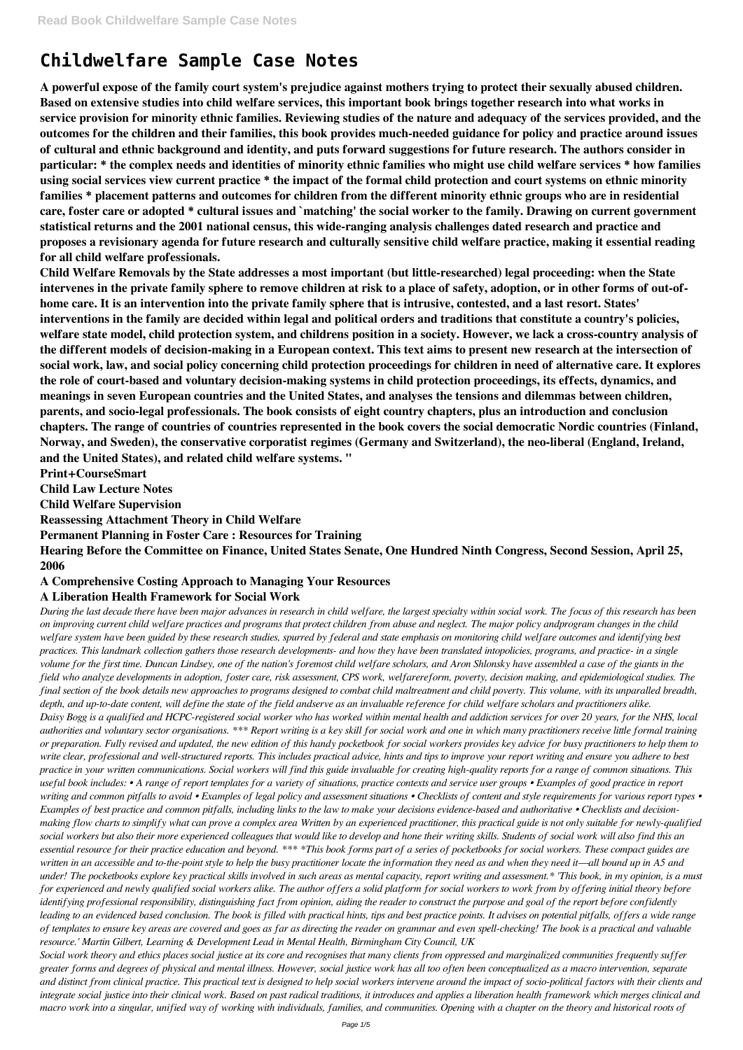# **Childwelfare Sample Case Notes**

**A powerful expose of the family court system's prejudice against mothers trying to protect their sexually abused children. Based on extensive studies into child welfare services, this important book brings together research into what works in service provision for minority ethnic families. Reviewing studies of the nature and adequacy of the services provided, and the outcomes for the children and their families, this book provides much-needed guidance for policy and practice around issues of cultural and ethnic background and identity, and puts forward suggestions for future research. The authors consider in particular: \* the complex needs and identities of minority ethnic families who might use child welfare services \* how families using social services view current practice \* the impact of the formal child protection and court systems on ethnic minority families \* placement patterns and outcomes for children from the different minority ethnic groups who are in residential care, foster care or adopted \* cultural issues and `matching' the social worker to the family. Drawing on current government statistical returns and the 2001 national census, this wide-ranging analysis challenges dated research and practice and proposes a revisionary agenda for future research and culturally sensitive child welfare practice, making it essential reading for all child welfare professionals.**

**Child Welfare Removals by the State addresses a most important (but little-researched) legal proceeding: when the State intervenes in the private family sphere to remove children at risk to a place of safety, adoption, or in other forms of out-ofhome care. It is an intervention into the private family sphere that is intrusive, contested, and a last resort. States' interventions in the family are decided within legal and political orders and traditions that constitute a country's policies, welfare state model, child protection system, and childrens position in a society. However, we lack a cross-country analysis of the different models of decision-making in a European context. This text aims to present new research at the intersection of social work, law, and social policy concerning child protection proceedings for children in need of alternative care. It explores the role of court-based and voluntary decision-making systems in child protection proceedings, its effects, dynamics, and meanings in seven European countries and the United States, and analyses the tensions and dilemmas between children, parents, and socio-legal professionals. The book consists of eight country chapters, plus an introduction and conclusion chapters. The range of countries of countries represented in the book covers the social democratic Nordic countries (Finland, Norway, and Sweden), the conservative corporatist regimes (Germany and Switzerland), the neo-liberal (England, Ireland, and the United States), and related child welfare systems. "**

**Print+CourseSmart**

**Child Law Lecture Notes**

**Child Welfare Supervision**

**Reassessing Attachment Theory in Child Welfare**

**Permanent Planning in Foster Care : Resources for Training**

**Hearing Before the Committee on Finance, United States Senate, One Hundred Ninth Congress, Second Session, April 25, 2006**

# **A Comprehensive Costing Approach to Managing Your Resources**

#### **A Liberation Health Framework for Social Work**

*During the last decade there have been major advances in research in child welfare, the largest specialty within social work. The focus of this research has been on improving current child welfare practices and programs that protect children from abuse and neglect. The major policy andprogram changes in the child welfare system have been guided by these research studies, spurred by federal and state emphasis on monitoring child welfare outcomes and identifying best practices. This landmark collection gathers those research developments- and how they have been translated intopolicies, programs, and practice- in a single volume for the first time. Duncan Lindsey, one of the nation's foremost child welfare scholars, and Aron Shlonsky have assembled a case of the giants in the field who analyze developments in adoption, foster care, risk assessment, CPS work, welfarereform, poverty, decision making, and epidemiological studies. The final section of the book details new approaches to programs designed to combat child maltreatment and child poverty. This volume, with its unparalled breadth, depth, and up-to-date content, will define the state of the field andserve as an invaluable reference for child welfare scholars and practitioners alike. Daisy Bogg is a qualified and HCPC-registered social worker who has worked within mental health and addiction services for over 20 years, for the NHS, local authorities and voluntary sector organisations. \*\*\* Report writing is a key skill for social work and one in which many practitioners receive little formal training or preparation. Fully revised and updated, the new edition of this handy pocketbook for social workers provides key advice for busy practitioners to help them to write clear, professional and well-structured reports. This includes practical advice, hints and tips to improve your report writing and ensure you adhere to best practice in your written communications. Social workers will find this guide invaluable for creating high-quality reports for a range of common situations. This useful book includes: • A range of report templates for a variety of situations, practice contexts and service user groups • Examples of good practice in report writing and common pitfalls to avoid • Examples of legal policy and assessment situations • Checklists of content and style requirements for various report types • Examples of best practice and common pitfalls, including links to the law to make your decisions evidence-based and authoritative • Checklists and decisionmaking flow charts to simplify what can prove a complex area Written by an experienced practitioner, this practical guide is not only suitable for newly-qualified social workers but also their more experienced colleagues that would like to develop and hone their writing skills. Students of social work will also find this an essential resource for their practice education and beyond. \*\*\* \*This book forms part of a series of pocketbooks for social workers. These compact guides are written in an accessible and to-the-point style to help the busy practitioner locate the information they need as and when they need it—all bound up in A5 and under! The pocketbooks explore key practical skills involved in such areas as mental capacity, report writing and assessment.\* 'This book, in my opinion, is a must for experienced and newly qualified social workers alike. The author offers a solid platform for social workers to work from by offering initial theory before identifying professional responsibility, distinguishing fact from opinion, aiding the reader to construct the purpose and goal of the report before confidently leading to an evidenced based conclusion. The book is filled with practical hints, tips and best practice points. It advises on potential pitfalls, offers a wide range of templates to ensure key areas are covered and goes as far as directing the reader on grammar and even spell-checking! The book is a practical and valuable resource.' Martin Gilbert, Learning & Development Lead in Mental Health, Birmingham City Council, UK Social work theory and ethics places social justice at its core and recognises that many clients from oppressed and marginalized communities frequently suffer greater forms and degrees of physical and mental illness. However, social justice work has all too often been conceptualized as a macro intervention, separate and distinct from clinical practice. This practical text is designed to help social workers intervene around the impact of socio-political factors with their clients and integrate social justice into their clinical work. Based on past radical traditions, it introduces and applies a liberation health framework which merges clinical and macro work into a singular, unified way of working with individuals, families, and communities. Opening with a chapter on the theory and historical roots of*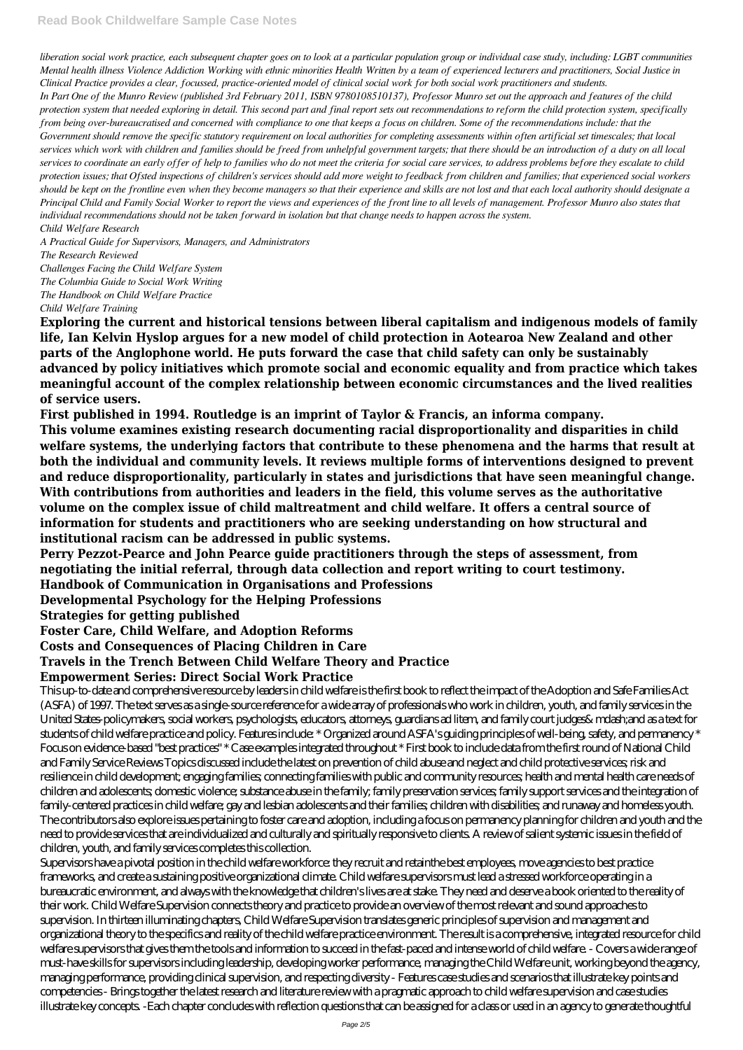*liberation social work practice, each subsequent chapter goes on to look at a particular population group or individual case study, including: LGBT communities Mental health illness Violence Addiction Working with ethnic minorities Health Written by a team of experienced lecturers and practitioners, Social Justice in Clinical Practice provides a clear, focussed, practice-oriented model of clinical social work for both social work practitioners and students.*

*In Part One of the Munro Review (published 3rd February 2011, ISBN 9780108510137), Professor Munro set out the approach and features of the child protection system that needed exploring in detail. This second part and final report sets out recommendations to reform the child protection system, specifically from being over-bureaucratised and concerned with compliance to one that keeps a focus on children. Some of the recommendations include: that the Government should remove the specific statutory requirement on local authorities for completing assessments within often artificial set timescales; that local services which work with children and families should be freed from unhelpful government targets; that there should be an introduction of a duty on all local services to coordinate an early offer of help to families who do not meet the criteria for social care services, to address problems before they escalate to child protection issues; that Ofsted inspections of children's services should add more weight to feedback from children and families; that experienced social workers should be kept on the frontline even when they become managers so that their experience and skills are not lost and that each local authority should designate a Principal Child and Family Social Worker to report the views and experiences of the front line to all levels of management. Professor Munro also states that individual recommendations should not be taken forward in isolation but that change needs to happen across the system. Child Welfare Research*

*A Practical Guide for Supervisors, Managers, and Administrators The Research Reviewed Challenges Facing the Child Welfare System The Columbia Guide to Social Work Writing*

*The Handbook on Child Welfare Practice Child Welfare Training*

**Exploring the current and historical tensions between liberal capitalism and indigenous models of family life, Ian Kelvin Hyslop argues for a new model of child protection in Aotearoa New Zealand and other parts of the Anglophone world. He puts forward the case that child safety can only be sustainably advanced by policy initiatives which promote social and economic equality and from practice which takes meaningful account of the complex relationship between economic circumstances and the lived realities of service users.**

**First published in 1994. Routledge is an imprint of Taylor & Francis, an informa company. This volume examines existing research documenting racial disproportionality and disparities in child welfare systems, the underlying factors that contribute to these phenomena and the harms that result at both the individual and community levels. It reviews multiple forms of interventions designed to prevent and reduce disproportionality, particularly in states and jurisdictions that have seen meaningful change. With contributions from authorities and leaders in the field, this volume serves as the authoritative volume on the complex issue of child maltreatment and child welfare. It offers a central source of information for students and practitioners who are seeking understanding on how structural and institutional racism can be addressed in public systems.**

**Perry Pezzot-Pearce and John Pearce guide practitioners through the steps of assessment, from negotiating the initial referral, through data collection and report writing to court testimony.**

**Handbook of Communication in Organisations and Professions**

**Developmental Psychology for the Helping Professions**

**Strategies for getting published**

**Foster Care, Child Welfare, and Adoption Reforms**

**Costs and Consequences of Placing Children in Care**

# **Travels in the Trench Between Child Welfare Theory and Practice**

# **Empowerment Series: Direct Social Work Practice**

This up-to-date and comprehensive resource by leaders in child welfare is the first book to reflect the impact of the Adoption and Safe Families Act (ASFA) of 1997. The text serves as a single-source reference for a wide array of professionals who work in children, youth, and family services in the United States-policymakers, social workers, psychologists, educators, attorneys, guardians ad litem, and family court judges& mdash;and as a text for students of child welfare practice and policy. Features include: \* Organized around ASFA's guiding principles of well-being, safety, and permanency \* Focus on evidence-based "best practices" \* Case examples integrated throughout \* First book to include data from the first round of National Child and Family Service Reviews Topics discussed include the latest on prevention of child abuse and neglect and child protective services; risk and resilience in child development; engaging families; connecting families with public and community resources; health and mental health care needs of children and adolescents; domestic violence; substance abuse in the family; family preservation services; family support services and the integration of family-centered practices in child welfare; gay and lesbian adolescents and their families; children with disabilities; and runaway and homeless youth. The contributors also explore issues pertaining to foster care and adoption, including a focus on permanency planning for children and youth and the need to provide services that are individualized and culturally and spiritually responsive to clients. A review of salient systemic issues in the field of children, youth, and family services completes this collection. Supervisors have a pivotal position in the child welfare workforce: they recruit and retainthe best employees, move agencies to best practice frameworks, and create a sustaining positive organizational climate. Child welfare supervisors must lead a stressed workforce operating in a bureaucratic environment, and always with the knowledge that children's lives are at stake. They need and deserve a book oriented to the reality of their work. Child Welfare Supervision connects theory and practice to provide an overview of the most relevant and sound approaches to supervision. In thirteen illuminating chapters, Child Welfare Supervision translates generic principles of supervision and management and organizational theory to the specifics and reality of the child welfare practice environment. The result is a comprehensive, integrated resource for child welfare supervisors that gives them the tools and information to succeed in the fast-paced and intense world of child welfare. - Covers a wide range of must-have skills for supervisors including leadership, developing worker performance, managing the Child Welfare unit, working beyond the agency, managing performance, providing clinical supervision, and respecting diversity - Features case studies and scenarios that illustrate key points and competencies - Brings together the latest research and literature review with a pragmatic approach to child welfare supervision and case studies illustrate key concepts. -Each chapter concludes with reflection questions that can be assigned for a class or used in an agency to generate thoughtful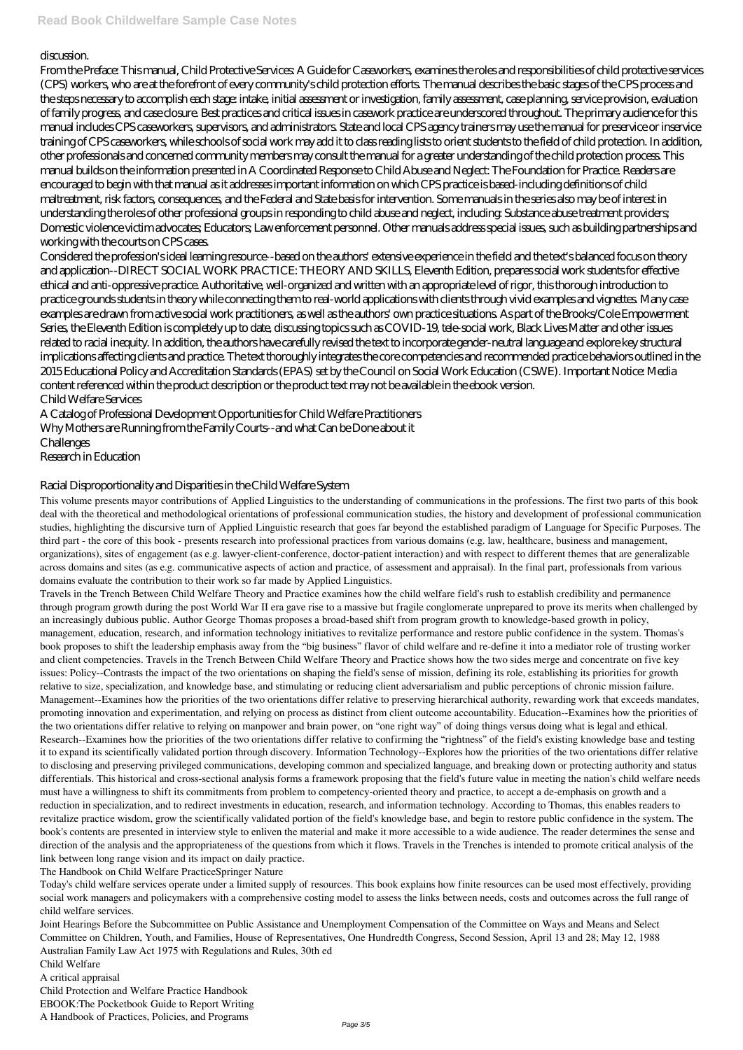#### discussion.

From the Preface: This manual, Child Protective Services: A Guide for Caseworkers, examines the roles and responsibilities of child protective services (CPS) workers, who are at the forefront of every community's child protection efforts. The manual describes the basic stages of the CPS process and the steps necessary to accomplish each stage: intake, initial assessment or investigation, family assessment, case planning, service provision, evaluation of family progress, and case closure. Best practices and critical issues in casework practice are underscored throughout. The primary audience for this manual includes CPS caseworkers, supervisors, and administrators. State and local CPS agency trainers may use the manual for preservice or inservice training of CPS caseworkers, while schools of social work may add it to class reading lists to orient students to the field of child protection. In addition, other professionals and concerned community members may consult the manual for a greater understanding of the child protection process. This manual builds on the information presented in A Coordinated Response to Child Abuse and Neglect: The Foundation for Practice. Readers are encouraged to begin with that manual as it addresses important information on which CPS practice is based-including definitions of child maltreatment, risk factors, consequences, and the Federal and State basis for intervention. Some manuals in the series also may be of interest in understanding the roles of other professional groups in responding to child abuse and neglect, including: Substance abuse treatment providers; Domestic violence victim advocates; Educators; Law enforcement personnel. Other manuals address special issues, such as building partnerships and working with the courts on CPS cases.

Considered the profession's ideal learning resource--based on the authors' extensive experience in the field and the text's balanced focus on theory and application--DIRECT SOCIAL WORK PRACTICE: THEORY AND SKILLS, Eleventh Edition, prepares social work students for effective ethical and anti-oppressive practice. Authoritative, well-organized and written with an appropriate level of rigor, this thorough introduction to practice grounds students in theory while connecting them to real-world applications with clients through vivid examples and vignettes. Many case examples are drawn from active social work practitioners, as well as the authors' own practice situations. As part of the Brooks/Cole Empowerment Series, the Eleventh Edition is completely up to date, discussing topics such as COVID-19, tele-social work, Black Lives Matter and other issues related to racial inequity. In addition, the authors have carefully revised the text to incorporate gender-neutral language and explore key structural implications affecting clients and practice. The text thoroughly integrates the core competencies and recommended practice behaviors outlined in the 2015 Educational Policy and Accreditation Standards (EPAS) set by the Council on Social Work Education (CSWE). Important Notice: Media content referenced within the product description or the product text may not be available in the ebook version. Child Welfare Services

A Catalog of Professional Development Opportunities for Child Welfare Practitioners Why Mothers are Running from the Family Courts--and what Can be Done about it Challenges Research in Education

#### Racial Disproportionality and Disparities in the Child Welfare System

This volume presents mayor contributions of Applied Linguistics to the understanding of communications in the professions. The first two parts of this book deal with the theoretical and methodological orientations of professional communication studies, the history and development of professional communication studies, highlighting the discursive turn of Applied Linguistic research that goes far beyond the established paradigm of Language for Specific Purposes. The third part - the core of this book - presents research into professional practices from various domains (e.g. law, healthcare, business and management, organizations), sites of engagement (as e.g. lawyer-client-conference, doctor-patient interaction) and with respect to different themes that are generalizable across domains and sites (as e.g. communicative aspects of action and practice, of assessment and appraisal). In the final part, professionals from various domains evaluate the contribution to their work so far made by Applied Linguistics.

Travels in the Trench Between Child Welfare Theory and Practice examines how the child welfare field's rush to establish credibility and permanence through program growth during the post World War II era gave rise to a massive but fragile conglomerate unprepared to prove its merits when challenged by an increasingly dubious public. Author George Thomas proposes a broad-based shift from program growth to knowledge-based growth in policy, management, education, research, and information technology initiatives to revitalize performance and restore public confidence in the system. Thomas's book proposes to shift the leadership emphasis away from the "big business" flavor of child welfare and re-define it into a mediator role of trusting worker and client competencies. Travels in the Trench Between Child Welfare Theory and Practice shows how the two sides merge and concentrate on five key issues: Policy--Contrasts the impact of the two orientations on shaping the field's sense of mission, defining its role, establishing its priorities for growth relative to size, specialization, and knowledge base, and stimulating or reducing client adversarialism and public perceptions of chronic mission failure. Management--Examines how the priorities of the two orientations differ relative to preserving hierarchical authority, rewarding work that exceeds mandates, promoting innovation and experimentation, and relying on process as distinct from client outcome accountability. Education--Examines how the priorities of the two orientations differ relative to relying on manpower and brain power, on "one right way" of doing things versus doing what is legal and ethical. Research--Examines how the priorities of the two orientations differ relative to confirming the "rightness" of the field's existing knowledge base and testing it to expand its scientifically validated portion through discovery. Information Technology--Explores how the priorities of the two orientations differ relative to disclosing and preserving privileged communications, developing common and specialized language, and breaking down or protecting authority and status differentials. This historical and cross-sectional analysis forms a framework proposing that the field's future value in meeting the nation's child welfare needs must have a willingness to shift its commitments from problem to competency-oriented theory and practice, to accept a de-emphasis on growth and a reduction in specialization, and to redirect investments in education, research, and information technology. According to Thomas, this enables readers to revitalize practice wisdom, grow the scientifically validated portion of the field's knowledge base, and begin to restore public confidence in the system. The book's contents are presented in interview style to enliven the material and make it more accessible to a wide audience. The reader determines the sense and direction of the analysis and the appropriateness of the questions from which it flows. Travels in the Trenches is intended to promote critical analysis of the link between long range vision and its impact on daily practice.

The Handbook on Child Welfare PracticeSpringer Nature

Today's child welfare services operate under a limited supply of resources. This book explains how finite resources can be used most effectively, providing social work managers and policymakers with a comprehensive costing model to assess the links between needs, costs and outcomes across the full range of child welfare services.

Joint Hearings Before the Subcommittee on Public Assistance and Unemployment Compensation of the Committee on Ways and Means and Select Committee on Children, Youth, and Families, House of Representatives, One Hundredth Congress, Second Session, April 13 and 28; May 12, 1988 Australian Family Law Act 1975 with Regulations and Rules, 30th ed Child Welfare

A critical appraisal

Child Protection and Welfare Practice Handbook

EBOOK:The Pocketbook Guide to Report Writing

A Handbook of Practices, Policies, and Programs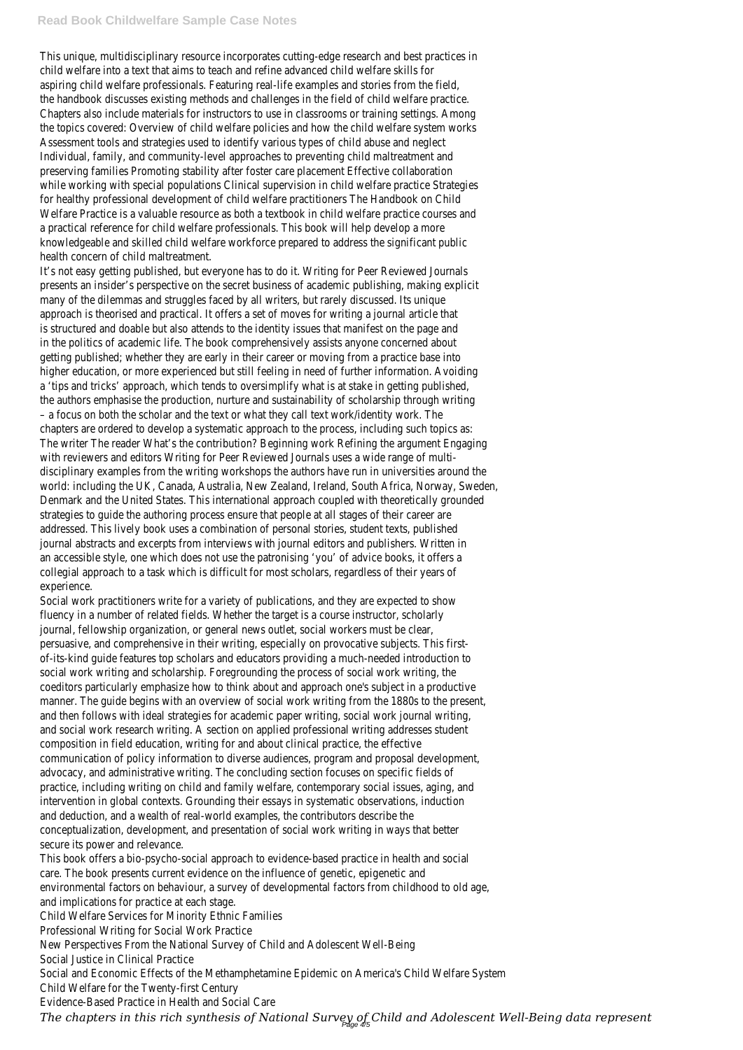This unique, multidisciplinary resource incorporates cutting-edge research and best practices in child welfare into a text that aims to teach and refine advanced child welfare skills for aspiring child welfare professionals. Featuring real-life examples and stories from the field, the handbook discusses existing methods and challenges in the field of child welfare practice. Chapters also include materials for instructors to use in classrooms or training settings. Among the topics covered: Overview of child welfare policies and how the child welfare system works Assessment tools and strategies used to identify various types of child abuse and neglect Individual, family, and community-level approaches to preventing child maltreatment and preserving families Promoting stability after foster care placement Effective collaboration while working with special populations Clinical supervision in child welfare practice Strategies for healthy professional development of child welfare practitioners The Handbook on Child Welfare Practice is a valuable resource as both a textbook in child welfare practice courses and a practical reference for child welfare professionals. This book will help develop a more knowledgeable and skilled child welfare workforce prepared to address the significant public health concern of child maltreatment.

It's not easy getting published, but everyone has to do it. Writing for Peer Reviewed Journals presents an insider's perspective on the secret business of academic publishing, making explicit many of the dilemmas and struggles faced by all writers, but rarely discussed. Its unique approach is theorised and practical. It offers a set of moves for writing a journal article that is structured and doable but also attends to the identity issues that manifest on the page and in the politics of academic life. The book comprehensively assists anyone concerned about getting published; whether they are early in their career or moving from a practice base into higher education, or more experienced but still feeling in need of further information. Avoiding a 'tips and tricks' approach, which tends to oversimplify what is at stake in getting published, the authors emphasise the production, nurture and sustainability of scholarship through writing – a focus on both the scholar and the text or what they call text work/identity work. The chapters are ordered to develop a systematic approach to the process, including such topics as: The writer The reader What's the contribution? Beginning work Refining the argument Engaging with reviewers and editors Writing for Peer Reviewed Journals uses a wide range of multidisciplinary examples from the writing workshops the authors have run in universities around the world: including the UK, Canada, Australia, New Zealand, Ireland, South Africa, Norway, Sweden, Denmark and the United States. This international approach coupled with theoretically grounded strategies to guide the authoring process ensure that people at all stages of their career are addressed. This lively book uses a combination of personal stories, student texts, published journal abstracts and excerpts from interviews with journal editors and publishers. Written in an accessible style, one which does not use the patronising 'you' of advice books, it offers a collegial approach to a task which is difficult for most scholars, regardless of their years of experience.

Social work practitioners write for a variety of publications, and they are expected to show fluency in a number of related fields. Whether the target is a course instructor, scholarly journal, fellowship organization, or general news outlet, social workers must be clear, persuasive, and comprehensive in their writing, especially on provocative subjects. This firstof-its-kind guide features top scholars and educators providing a much-needed introduction to social work writing and scholarship. Foregrounding the process of social work writing, the coeditors particularly emphasize how to think about and approach one's subject in a productive manner. The guide begins with an overview of social work writing from the 1880s to the present, and then follows with ideal strategies for academic paper writing, social work journal writing, and social work research writing. A section on applied professional writing addresses student composition in field education, writing for and about clinical practice, the effective communication of policy information to diverse audiences, program and proposal development, advocacy, and administrative writing. The concluding section focuses on specific fields of practice, including writing on child and family welfare, contemporary social issues, aging, and intervention in global contexts. Grounding their essays in systematic observations, induction and deduction, and a wealth of real-world examples, the contributors describe the conceptualization, development, and presentation of social work writing in ways that better secure its power and relevance. This book offers a bio-psycho-social approach to evidence-based practice in health and social care. The book presents current evidence on the influence of genetic, epigenetic and environmental factors on behaviour, a survey of developmental factors from childhood to old age, and implications for practice at each stage. Child Welfare Services for Minority Ethnic Families

Professional Writing for Social Work Practice

New Perspectives From the National Survey of Child and Adolescent Well-Being

Social Justice in Clinical Practice

Social and Economic Effects of the Methamphetamine Epidemic on America's Child Welfare System

Child Welfare for the Twenty-first Century

Evidence-Based Practice in Health and Social Care

*The chapters in this rich synthesis of National Survey of Child and Adolescent Well-Being data represent* Page 4/5